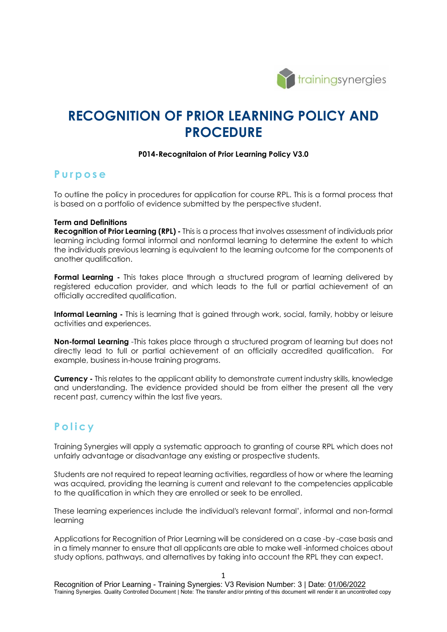

# **RECOGNITION OF PRIOR LEARNING POLICY AND PROCEDURE**

#### **P014-Recognitaion of Prior Learning Policy V3.0**

### **Purpose**

To outline the policy in procedures for application for course RPL. This is a formal process that is based on a portfolio of evidence submitted by the perspective student.

#### **Term and Definitions**

**Recognition of Prior Learning (RPL) -** This is a process that involves assessment of individuals prior learning including formal informal and nonformal learning to determine the extent to which the individuals previous learning is equivalent to the learning outcome for the components of another qualification.

**Formal Learning -** This takes place through a structured program of learning delivered by registered education provider, and which leads to the full or partial achievement of an officially accredited qualification.

**Informal Learning** - This is learning that is gained through work, social, family, hobby or leisure activities and experiences.

**Non-formal Learning** -This takes place through a structured program of learning but does not directly lead to full or partial achievement of an officially accredited qualification. For example, business in-house training programs.

**Currency -** This relates to the applicant ability to demonstrate current industry skills, knowledge and understanding. The evidence provided should be from either the present all the very recent past, currency within the last five years.

## **Policy**

Training Synergies will apply a systematic approach to granting of course RPL which does not unfairly advantage or disadvantage any existing or prospective students.

Students are not required to repeat learning activities, regardless of how or where the learning was acquired, providing the learning is current and relevant to the competencies applicable to the qualification in which they are enrolled or seek to be enrolled.

These learning experiences include the individual's relevant formal', informal and non-formal learning

Applications for Recognition of Prior Learning will be considered on a case -by -case basis and in a timely manner to ensure that all applicants are able to make well -informed choices about study options, pathways, and alternatives by taking into account the RPL they can expect.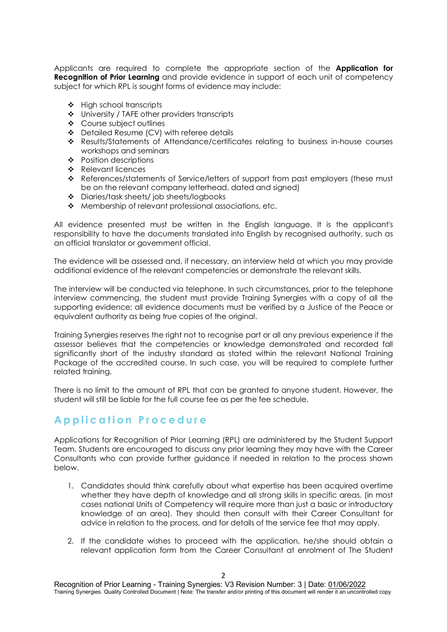Applicants are required to complete the appropriate section of the **Application for Recognition of Prior Learning** and provide evidence in support of each unit of competency subject for which RPL is sought forms of evidence may include:

- ❖ High school transcripts
- University / TAFE other providers transcripts
- Course subject outlines
- ◆ Detailed Resume (CV) with referee details
- Results/Statements of Attendance/certificates relating to business in-house courses workshops and seminars
- ❖ Position descriptions
- \* Relevant licences
- \* References/statements of Service/letters of support from past employers (these must be on the relevant company letterhead, dated and signed)
- Diaries/task sheets/ job sheets/logbooks
- ◆ Membership of relevant professional associations, etc.

All evidence presented must be written in the English language. It is the applicant's responsibility to have the documents translated into English by recognised authority, such as an official translator or government official.

The evidence will be assessed and, if necessary, an interview held at which you may provide additional evidence of the relevant competencies or demonstrate the relevant skills.

The interview will be conducted via telephone. In such circumstances, prior to the telephone interview commencing, the student must provide Training Synergies with a copy of all the supporting evidence; all evidence documents must be verified by a Justice of the Peace or equivalent authority as being true copies of the original.

Training Synergies reserves the right not to recognise part or all any previous experience if the assessor believes that the competencies or knowledge demonstrated and recorded fall significantly short of the industry standard as stated within the relevant National Training Package of the accredited course. In such case, you will be required to complete further related training.

There is no limit to the amount of RPL that can be granted to anyone student. However, the student will still be liable for the full course fee as per the fee schedule.

## **Application Procedure**

Applications for Recognition of Prior Learning (RPL) are administered by the Student Support Team. Students are encouraged to discuss any prior learning they may have with the Career Consultants who can provide further guidance if needed in relation to the process shown below.

- 1. Candidates should think carefully about what expertise has been acquired overtime whether they have depth of knowledge and all strong skills in specific areas. (in most cases national Units of Competency will require more than just a basic or introductory knowledge of an area). They should then consult with their Career Consultant for advice in relation to the process, and for details of the service fee that may apply.
- 2. If the candidate wishes to proceed with the application, he/she should obtain a relevant application form from the Career Consultant at enrolment of The Student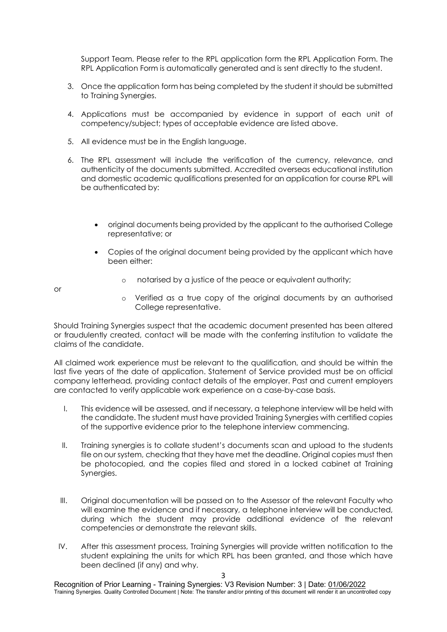Support Team. Please refer to the RPL application form the RPL Application Form. The RPL Application Form is automatically generated and is sent directly to the student.

- 3. Once the application form has being completed by the student it should be submitted to Training Synergies.
- 4. Applications must be accompanied by evidence in support of each unit of competency/subject; types of acceptable evidence are listed above.
- 5. All evidence must be in the English language.
- 6. The RPL assessment will include the verification of the currency, relevance, and authenticity of the documents submitted. Accredited overseas educational institution and domestic academic qualifications presented for an application for course RPL will be authenticated by:
	- original documents being provided by the applicant to the authorised College representative; or
	- Copies of the original document being provided by the applicant which have been either:
		- o notarised by a justice of the peace or equivalent authority;

or

o Verified as a true copy of the original documents by an authorised College representative.

Should Training Synergies suspect that the academic document presented has been altered or fraudulently created, contact will be made with the conferring institution to validate the claims of the candidate.

All claimed work experience must be relevant to the qualification, and should be within the last five years of the date of application. Statement of Service provided must be on official company letterhead, providing contact details of the employer. Past and current employers are contacted to verify applicable work experience on a case-by-case basis.

- I. This evidence will be assessed, and if necessary, a telephone interview will be held with the candidate. The student must have provided Training Synergies with certified copies of the supportive evidence prior to the telephone interview commencing.
- II. Training synergies is to collate student's documents scan and upload to the students file on our system, checking that they have met the deadline. Original copies must then be photocopied, and the copies filed and stored in a locked cabinet at Training Synergies.
- III. Original documentation will be passed on to the Assessor of the relevant Faculty who will examine the evidence and if necessary, a telephone interview will be conducted, during which the student may provide additional evidence of the relevant competencies or demonstrate the relevant skills.
- IV. After this assessment process, Training Synergies will provide written notification to the student explaining the units for which RPL has been granted, and those which have been declined (if any) and why.